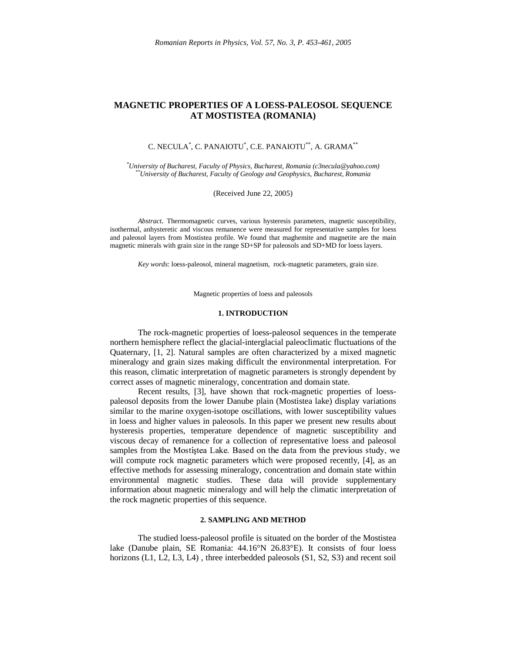# **MAGNETIC PROPERTIES OF A LOESS-PALEOSOL SEQUENCE AT MOSTISTEA (ROMANIA)**

## C. NECULA $^*$ , C. PANAIOTU $^*$ , C.E. PANAIOTU $^{**}$ , A. GRAMA $^{**}$

*\*University of Bucharest, Faculty of Physics, Bucharest, Romania (c3necula@yahoo.com) \*\*University of Bucharest, Faculty of Geology and Geophysics, Bucharest, Romania*

(Received June 22, 2005)

*Abstract.* Thermomagnetic curves, various hysteresis parameters, magnetic susceptibility, isothermal, anhysteretic and viscous remanence were measured for representative samples for loess and paleosol layers from Mostistea profile. We found that maghemite and magnetite are the main magnetic minerals with grain size in the range SD+SP for paleosols and SD+MD for loess layers.

*Key words*: loess-paleosol, mineral magnetism, rock-magnetic parameters, grain size.

Magnetic properties of loess and paleosols

### **1. INTRODUCTION**

The rock-magnetic properties of loess-paleosol sequences in the temperate northern hemisphere reflect the glacial-interglacial paleoclimatic fluctuations of the Quaternary, [1, 2]. Natural samples are often characterized by a mixed magnetic mineralogy and grain sizes making difficult the environmental interpretation. For this reason, climatic interpretation of magnetic parameters is strongly dependent by correct asses of magnetic mineralogy, concentration and domain state.

Recent results, [3], have shown that rock-magnetic properties of loesspaleosol deposits from the lower Danube plain (Mostistea lake) display variations similar to the marine oxygen-isotope oscillations, with lower susceptibility values in loess and higher values in paleosols. In this paper we present new results about hysteresis properties, temperature dependence of magnetic susceptibility and viscous decay of remanence for a collection of representative loess and paleosol samples from the Mostiștea Lake. Based on the data from the previous study, we will compute rock magnetic parameters which were proposed recently, [4], as an effective methods for assessing mineralogy, concentration and domain state within environmental magnetic studies. These data will provide supplementary information about magnetic mineralogy and will help the climatic interpretation of the rock magnetic properties of this sequence.

## **2. SAMPLING AND METHOD**

The studied loess-paleosol profile is situated on the border of the Mostistea lake (Danube plain, SE Romania: 44.16°N 26.83°E). It consists of four loess horizons (L1, L2, L3, L4), three interbedded paleosols (S1, S2, S3) and recent soil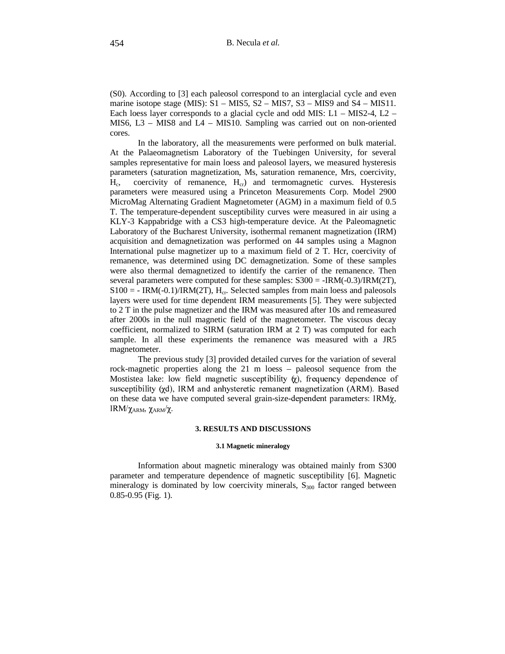(S0). According to [3] each paleosol correspond to an interglacial cycle and even marine isotope stage (MIS): S1 – MIS5, S2 – MIS7, S3 – MIS9 and S4 – MIS11. Each loess layer corresponds to a glacial cycle and odd MIS: L1 – MIS2-4, L2 – MIS6, L3 – MIS8 and L4 – MIS10. Sampling was carried out on non-oriented cores.

In the laboratory, all the measurements were performed on bulk material. At the Palaeomagnetism Laboratory of the Tuebingen University, for several samples representative for main loess and paleosol layers, we measured hysteresis parameters (saturation magnetization, Ms, saturation remanence, Mrs, coercivity,  $H_c$ coercivity of remanence,  $H_{cr}$ ) and termomagnetic curves. Hysteresis parameters were measured using a Princeton Measurements Corp. Model 2900 MicroMag Alternating Gradient Magnetometer (AGM) in a maximum field of 0.5 T. The temperature-dependent susceptibility curves were measured in air using a KLY-3 Kappabridge with a CS3 high-temperature device. At the Paleomagnetic Laboratory of the Bucharest University, isothermal remanent magnetization (IRM) acquisition and demagnetization was performed on 44 samples using a Magnon International pulse magnetizer up to a maximum field of 2 T. Hcr, coercivity of remanence, was determined using DC demagnetization. Some of these samples were also thermal demagnetized to identify the carrier of the remanence. Then several parameters were computed for these samples: S300 = -IRM(-0.3)/IRM(2T),  $S100 = - IRM(-0.1)/IRM(2T), H_{cr}$ . Selected samples from main loess and paleosols layers were used for time dependent IRM measurements [5]. They were subjected to 2 T in the pulse magnetizer and the IRM was measured after 10s and remeasured after 2000s in the null magnetic field of the magnetometer. The viscous decay coefficient, normalized to SIRM (saturation IRM at 2 T) was computed for each sample. In all these experiments the remanence was measured with a JR5 magnetometer.

The previous study [3] provided detailed curves for the variation of several rock-magnetic properties along the 21 m loess – paleosol sequence from the Mostistea lake: low field magnetic susceptibility  $\chi$ ), frequency dependence of ?4? 61:<@A%BACA&@%7EDGFH9IJLKNMPORQ!SHTQ!S<U<VW2XZY [\YX]%^\_[2Y`aQ SY!S"Xb`Qc"SYXZ]%dQX]%e-SgfhiMbOjIkmlnQWYH on these data we have computed several grain-size-dependent parameters: IRM $\chi$ ,  ${}_{\rm I}$ K ${}_{\rm I}$ v ${}_{\rm I}$ z ${}_{\rm ARM}$ ,  ${}_{\rm ARM}/{}_{\rm A}$ .

## **3. RESULTS AND DISCUSSIONS**

#### **3.1 Magnetic mineralogy**

Information about magnetic mineralogy was obtained mainly from S300 parameter and temperature dependence of magnetic susceptibility [6]. Magnetic mineralogy is dominated by low coercivity minerals,  $S<sub>300</sub>$  factor ranged between 0.85-0.95 (Fig. 1).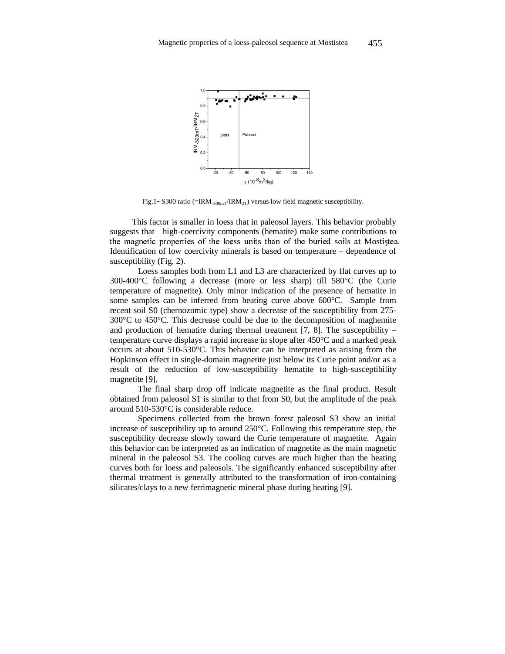

Fig.1- S300 ratio (=IRM<sub>-300mT</sub>/IRM<sub>2T</sub>) versus low field magnetic susceptibility.

This factor is smaller in loess that in paleosol layers. This behavior probably suggests that high-coercivity components (hematite) make some contributions to - 
- "!#\$%&'()\*+,)-.-%/\*0+1-2!)3546-/78'#9 Identification of low coercivity minerals is based on temperature – dependence of susceptibility (Fig. 2).

Loess samples both from L1 and L3 are characterized by flat curves up to 300-400°C following a decrease (more or less sharp) till 580°C (the Curie temperature of magnetite). Only minor indication of the presence of hematite in some samples can be inferred from heating curve above 600°C. Sample from recent soil S0 (chernozomic type) show a decrease of the susceptibility from 275- 300°C to 450°C. This decrease could be due to the decomposition of maghemite and production of hematite during thermal treatment [7, 8]. The susceptibility – temperature curve displays a rapid increase in slope after 450°C and a marked peak occurs at about 510-530°C. This behavior can be interpreted as arising from the Hopkinson effect in single-domain magnetite just below its Curie point and/or as a result of the reduction of low-susceptibility hematite to high-susceptibility magnetite [9].

The final sharp drop off indicate magnetite as the final product. Result obtained from paleosol S1 is similar to that from S0, but the amplitude of the peak around 510-530°C is considerable reduce.

Specimens collected from the brown forest paleosol S3 show an initial increase of susceptibility up to around 250°C. Following this temperature step, the susceptibility decrease slowly toward the Curie temperature of magnetite. Again this behavior can be interpreted as an indication of magnetite as the main magnetic mineral in the paleosol S3. The cooling curves are much higher than the heating curves both for loess and paleosols. The significantly enhanced susceptibility after thermal treatment is generally attributed to the transformation of iron-containing silicates/clays to a new ferrimagnetic mineral phase during heating [9].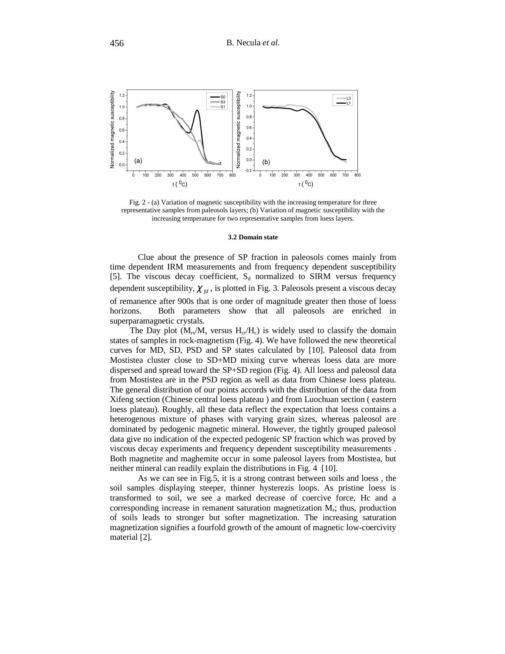

Fig. 2 - (a) Variation of magnetic susceptibility with the increasing temperature for three representative samples from paleosols layers; (b) Variation of magnetic susceptibility with the increasing temperature for two representative samples from loess layers.

#### **3.2 Domain state**

Clue about the presence of SP fraction in paleosols comes mainly from time dependent IRM measurements and from frequency dependent susceptibility [5]. The viscous decay coefficient,  $S_d$  normalized to SIRM versus frequency dependent susceptibility,  $\chi_{fd}$ , is plotted in Fig. 3. Paleosols present a viscous decay of remanence after 900s that is one order of magnitude greater then those of loess horizons. Both parameters show that all paleosols are enriched in superparamagnetic crystals.

The Day plot  $(M_{rs}/M_s$  versus  $H_{cr}/H_c$ ) is widely used to classify the domain states of samples in rock-magnetism (Fig. 4). We have followed the new theoretical curves for MD, SD, PSD and SP states calculated by [10]. Paleosol data from Mostistea cluster close to SD+MD mixing curve whereas loess data are more dispersed and spread toward the SP+SD region (Fig. 4). All loess and paleosol data from Mostistea are in the PSD region as well as data from Chinese loess plateau. The general distribution of our points accords with the distribution of the data from Xifeng section (Chinese central loess plateau ) and from Luochuan section ( eastern loess plateau). Roughly, all these data reflect the expectation that loess contains a heterogenous mixture of phases with varying grain sizes, whereas paleosol are dominated by pedogenic magnetic mineral. However, the tightly grouped paleosol data give no indication of the expected pedogenic SP fraction which was proved by viscous decay experiments and frequency dependent susceptibility measurements . Both magnetite and maghemite occur in some paleosol layers from Mostistea, but neither mineral can readily explain the distributions in Fig. 4 [10].

As we can see in Fig.5, it is a strong contrast between soils and loess , the soil samples displaying steeper, thinner hysterezis loops. As pristine loess is transformed to soil, we see a marked decrease of coercive force, Hc and a corresponding increase in remanent saturation magnetization  $M_s$ ; thus, production of soils leads to stronger but softer magnetization. The increasing saturation magnetization signifies a fourfold growth of the amount of magnetic low-coercivity material [2].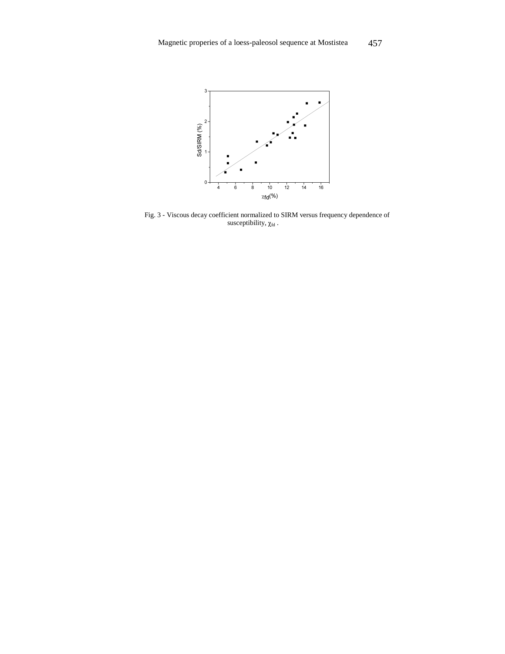

Fig. 3 - Viscous decay coefficient normalized to SIRM versus frequency dependence of susceptibility,  $\chi_{\text{fd}}$ .